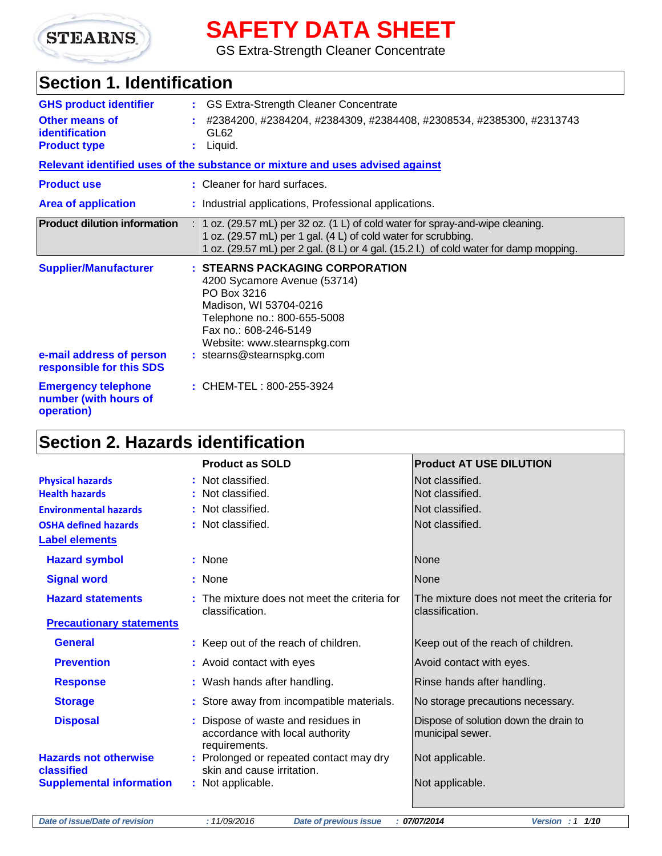

# **SAFETY DATA SHEET**

GS Extra-Strength Cleaner Concentrate

# **Section 1. Identification**

| <b>GHS product identifier</b>                                                        | : GS Extra-Strength Cleaner Concentrate                                                                                                                                                                                                     |
|--------------------------------------------------------------------------------------|---------------------------------------------------------------------------------------------------------------------------------------------------------------------------------------------------------------------------------------------|
| Other means of<br><b>identification</b><br><b>Product type</b>                       | #2384200, #2384204, #2384309, #2384408, #2308534, #2385300, #2313743<br>GL62<br>$:$ Liquid.                                                                                                                                                 |
|                                                                                      | Relevant identified uses of the substance or mixture and uses advised against                                                                                                                                                               |
| <b>Product use</b>                                                                   | : Cleaner for hard surfaces.                                                                                                                                                                                                                |
| <b>Area of application</b>                                                           | : Industrial applications, Professional applications.                                                                                                                                                                                       |
| <b>Product dilution information</b>                                                  | $: 1$ oz. (29.57 mL) per 32 oz. (1 L) of cold water for spray-and-wipe cleaning.<br>1 oz. (29.57 mL) per 1 gal. (4 L) of cold water for scrubbing.<br>1 oz. (29.57 mL) per 2 gal. (8 L) or 4 gal. (15.2 l.) of cold water for damp mopping. |
| <b>Supplier/Manufacturer</b><br>e-mail address of person<br>responsible for this SDS | : STEARNS PACKAGING CORPORATION<br>4200 Sycamore Avenue (53714)<br>PO Box 3216<br>Madison, WI 53704-0216<br>Telephone no.: 800-655-5008<br>Fax no.: 608-246-5149<br>Website: www.stearnspkg.com<br>: stearns@stearnspkg.com                 |
| <b>Emergency telephone</b><br>number (with hours of<br>operation)                    | : CHEM-TEL: 800-255-3924                                                                                                                                                                                                                    |

# **Section 2. Hazards identification**

|                                            | <b>Product as SOLD</b>                                                                 | <b>Product AT USE DILUTION</b>                                |
|--------------------------------------------|----------------------------------------------------------------------------------------|---------------------------------------------------------------|
| <b>Physical hazards</b>                    | : Not classified.                                                                      | Not classified.                                               |
| <b>Health hazards</b>                      | : Not classified.                                                                      | Not classified.                                               |
| <b>Environmental hazards</b>               | : Not classified.                                                                      | Not classified.                                               |
| <b>OSHA defined hazards</b>                | : Not classified.                                                                      | Not classified.                                               |
| <b>Label elements</b>                      |                                                                                        |                                                               |
| <b>Hazard symbol</b>                       | : None                                                                                 | <b>None</b>                                                   |
| <b>Signal word</b>                         | : None                                                                                 | None                                                          |
| <b>Hazard statements</b>                   | : The mixture does not meet the criteria for<br>classification.                        | The mixture does not meet the criteria for<br>classification. |
| <b>Precautionary statements</b>            |                                                                                        |                                                               |
| <b>General</b>                             | : Keep out of the reach of children.                                                   | Keep out of the reach of children.                            |
| <b>Prevention</b>                          | : Avoid contact with eyes                                                              | Avoid contact with eyes.                                      |
| <b>Response</b>                            | : Wash hands after handling.                                                           | Rinse hands after handling.                                   |
| <b>Storage</b>                             | : Store away from incompatible materials.                                              | No storage precautions necessary.                             |
| <b>Disposal</b>                            | : Dispose of waste and residues in<br>accordance with local authority<br>requirements. | Dispose of solution down the drain to<br>municipal sewer.     |
| <b>Hazards not otherwise</b><br>classified | : Prolonged or repeated contact may dry<br>skin and cause irritation.                  | Not applicable.                                               |
| <b>Supplemental information</b>            | : Not applicable.                                                                      | Not applicable.                                               |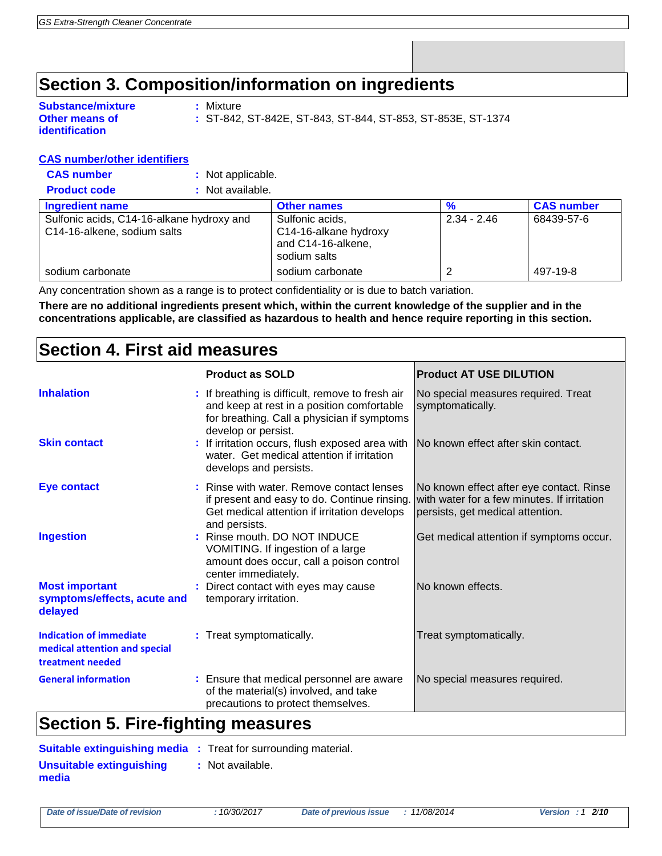## **Section 3. Composition/information on ingredients**

| <b>Substance/mixture</b> |
|--------------------------|
| Other means of           |
| identification           |

**CAS number** 

**Substance/mixture :** Mixture

**:** ST-842, ST-842E, ST-843, ST-844, ST-853, ST-853E, ST-1374

#### **CAS number/other identifiers**

| <b>Product code</b> | : Not available. |
|---------------------|------------------|
|---------------------|------------------|

| <b>Ingredient name</b>                    | <b>Other names</b>    | %             | <b>CAS number</b> |
|-------------------------------------------|-----------------------|---------------|-------------------|
| Sulfonic acids, C14-16-alkane hydroxy and | Sulfonic acids,       | $2.34 - 2.46$ | 68439-57-6        |
| C14-16-alkene, sodium salts               | C14-16-alkane hydroxy |               |                   |
|                                           | and C14-16-alkene,    |               |                   |
|                                           | sodium salts          |               |                   |
| sodium carbonate                          | sodium carbonate      |               | 497-19-8          |

Any concentration shown as a range is to protect confidentiality or is due to batch variation.

**There are no additional ingredients present which, within the current knowledge of the supplier and in the concentrations applicable, are classified as hazardous to health and hence require reporting in this section.**

## **Section 4. First aid measures**

|                                                                                     | <b>Product as SOLD</b>                                                                                                                                               | <b>Product AT USE DILUTION</b>                                                                                              |
|-------------------------------------------------------------------------------------|----------------------------------------------------------------------------------------------------------------------------------------------------------------------|-----------------------------------------------------------------------------------------------------------------------------|
| <b>Inhalation</b>                                                                   | : If breathing is difficult, remove to fresh air<br>and keep at rest in a position comfortable<br>for breathing. Call a physician if symptoms<br>develop or persist. | No special measures required. Treat<br>symptomatically.                                                                     |
| <b>Skin contact</b>                                                                 | If irritation occurs, flush exposed area with<br>water. Get medical attention if irritation<br>develops and persists.                                                | No known effect after skin contact.                                                                                         |
| <b>Eye contact</b>                                                                  | Rinse with water. Remove contact lenses<br>if present and easy to do. Continue rinsing.<br>Get medical attention if irritation develops<br>and persists.             | No known effect after eye contact. Rinse<br>with water for a few minutes. If irritation<br>persists, get medical attention. |
| <b>Ingestion</b>                                                                    | : Rinse mouth. DO NOT INDUCE<br>VOMITING. If ingestion of a large<br>amount does occur, call a poison control<br>center immediately.                                 | Get medical attention if symptoms occur.                                                                                    |
| <b>Most important</b><br>symptoms/effects, acute and<br>delayed                     | Direct contact with eyes may cause<br>temporary irritation.                                                                                                          | No known effects.                                                                                                           |
| <b>Indication of immediate</b><br>medical attention and special<br>treatment needed | : Treat symptomatically.                                                                                                                                             | Treat symptomatically.                                                                                                      |
| <b>General information</b><br><b>A</b> 10 <b>A</b><br>--<br>.                       | : Ensure that medical personnel are aware<br>of the material(s) involved, and take<br>precautions to protect themselves.                                             | No special measures required.                                                                                               |

## **Section 5. Fire-fighting measures**

|                                   | <b>Suitable extinguishing media :</b> Treat for surrounding material. |
|-----------------------------------|-----------------------------------------------------------------------|
| Unsuitable extinguishing<br>media | : Not available.                                                      |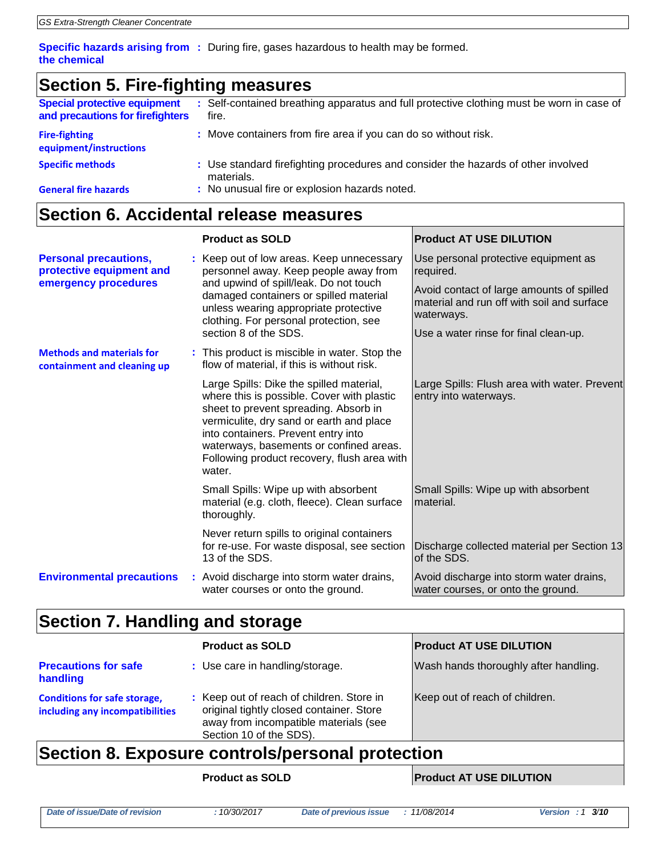**Specific hazards arising from :** During fire, gases hazardous to health may be formed. **the chemical**

## **Section 5. Fire-fighting measures**

| <b>Special protective equipment</b><br>and precautions for firefighters | : Self-contained breathing apparatus and full protective clothing must be worn in case of<br>fire. |
|-------------------------------------------------------------------------|----------------------------------------------------------------------------------------------------|
| <b>Fire-fighting</b><br>equipment/instructions                          | : Move containers from fire area if you can do so without risk.                                    |
| <b>Specific methods</b>                                                 | : Use standard firefighting procedures and consider the hazards of other involved<br>materials.    |
| <b>General fire hazards</b>                                             | : No unusual fire or explosion hazards noted.                                                      |

## **Section 6. Accidental release measures**

|                                                                                  | <b>Product as SOLD</b>                                                                                                                                                                                                                                                                                                 | <b>Product AT USE DILUTION</b>                                                                                                                                                                      |
|----------------------------------------------------------------------------------|------------------------------------------------------------------------------------------------------------------------------------------------------------------------------------------------------------------------------------------------------------------------------------------------------------------------|-----------------------------------------------------------------------------------------------------------------------------------------------------------------------------------------------------|
| <b>Personal precautions,</b><br>protective equipment and<br>emergency procedures | : Keep out of low areas. Keep unnecessary<br>personnel away. Keep people away from<br>and upwind of spill/leak. Do not touch<br>damaged containers or spilled material<br>unless wearing appropriate protective<br>clothing. For personal protection, see<br>section 8 of the SDS.                                     | Use personal protective equipment as<br>required.<br>Avoid contact of large amounts of spilled<br>material and run off with soil and surface<br>waterways.<br>Use a water rinse for final clean-up. |
| <b>Methods and materials for</b><br>containment and cleaning up                  | : This product is miscible in water. Stop the<br>flow of material, if this is without risk.                                                                                                                                                                                                                            |                                                                                                                                                                                                     |
|                                                                                  | Large Spills: Dike the spilled material,<br>where this is possible. Cover with plastic<br>sheet to prevent spreading. Absorb in<br>vermiculite, dry sand or earth and place<br>into containers. Prevent entry into<br>waterways, basements or confined areas.<br>Following product recovery, flush area with<br>water. | Large Spills: Flush area with water. Prevent<br>entry into waterways.                                                                                                                               |
|                                                                                  | Small Spills: Wipe up with absorbent<br>material (e.g. cloth, fleece). Clean surface<br>thoroughly.                                                                                                                                                                                                                    | Small Spills: Wipe up with absorbent<br>material.                                                                                                                                                   |
|                                                                                  | Never return spills to original containers<br>for re-use. For waste disposal, see section<br>13 of the SDS.                                                                                                                                                                                                            | Discharge collected material per Section 13<br>of the SDS.                                                                                                                                          |
| <b>Environmental precautions</b>                                                 | : Avoid discharge into storm water drains,<br>water courses or onto the ground.                                                                                                                                                                                                                                        | Avoid discharge into storm water drains,<br>water courses, or onto the ground.                                                                                                                      |

## **Section 7. Handling and storage**

|                                                                        | <b>Product as SOLD</b>                                                                                                                                    | <b>Product AT USE DILUTION</b>        |  |
|------------------------------------------------------------------------|-----------------------------------------------------------------------------------------------------------------------------------------------------------|---------------------------------------|--|
| <b>Precautions for safe</b><br>handling                                | : Use care in handling/storage.                                                                                                                           | Wash hands thoroughly after handling. |  |
| <b>Conditions for safe storage,</b><br>including any incompatibilities | : Keep out of reach of children. Store in<br>original tightly closed container. Store<br>away from incompatible materials (see<br>Section 10 of the SDS). | Keep out of reach of children.        |  |
| Section 8. Exposure controls/personal protection                       |                                                                                                                                                           |                                       |  |

**Product as SOLD Product AT USE DILUTION**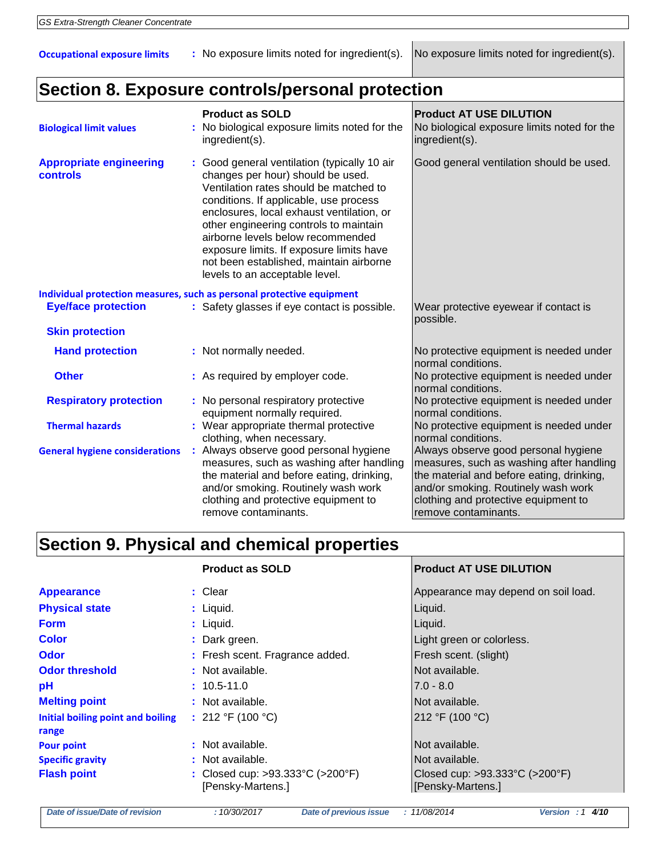**Occupational exposure limits** : No exposure limits noted for ingredient(s). No exposure limits noted for ingredient(s).

## **Section 8. Exposure controls/personal protection**

| <b>Biological limit values</b>                    | <b>Product as SOLD</b><br>No biological exposure limits noted for the<br>ingredient(s).                                                                                                                                                                                                                                                                                                                                    | <b>Product AT USE DILUTION</b><br>No biological exposure limits noted for the<br>ingredient(s).                                                                                                                                      |
|---------------------------------------------------|----------------------------------------------------------------------------------------------------------------------------------------------------------------------------------------------------------------------------------------------------------------------------------------------------------------------------------------------------------------------------------------------------------------------------|--------------------------------------------------------------------------------------------------------------------------------------------------------------------------------------------------------------------------------------|
| <b>Appropriate engineering</b><br><b>controls</b> | : Good general ventilation (typically 10 air<br>changes per hour) should be used.<br>Ventilation rates should be matched to<br>conditions. If applicable, use process<br>enclosures, local exhaust ventilation, or<br>other engineering controls to maintain<br>airborne levels below recommended<br>exposure limits. If exposure limits have<br>not been established, maintain airborne<br>levels to an acceptable level. | Good general ventilation should be used.                                                                                                                                                                                             |
| <b>Eye/face protection</b>                        | Individual protection measures, such as personal protective equipment<br>: Safety glasses if eye contact is possible.                                                                                                                                                                                                                                                                                                      | Wear protective eyewear if contact is                                                                                                                                                                                                |
| <b>Skin protection</b>                            |                                                                                                                                                                                                                                                                                                                                                                                                                            | possible.                                                                                                                                                                                                                            |
| <b>Hand protection</b>                            | : Not normally needed.                                                                                                                                                                                                                                                                                                                                                                                                     | No protective equipment is needed under<br>normal conditions.                                                                                                                                                                        |
| <b>Other</b>                                      | : As required by employer code.                                                                                                                                                                                                                                                                                                                                                                                            | No protective equipment is needed under<br>normal conditions.                                                                                                                                                                        |
| <b>Respiratory protection</b>                     | : No personal respiratory protective<br>equipment normally required.                                                                                                                                                                                                                                                                                                                                                       | No protective equipment is needed under<br>normal conditions.                                                                                                                                                                        |
| <b>Thermal hazards</b>                            | : Wear appropriate thermal protective<br>clothing, when necessary.                                                                                                                                                                                                                                                                                                                                                         | No protective equipment is needed under<br>normal conditions.                                                                                                                                                                        |
| <b>General hygiene considerations</b>             | : Always observe good personal hygiene<br>measures, such as washing after handling<br>the material and before eating, drinking,<br>and/or smoking. Routinely wash work<br>clothing and protective equipment to<br>remove contaminants.                                                                                                                                                                                     | Always observe good personal hygiene<br>measures, such as washing after handling<br>the material and before eating, drinking,<br>and/or smoking. Routinely wash work<br>clothing and protective equipment to<br>remove contaminants. |

# **Section 9. Physical and chemical properties**

|                                            | <b>Product as SOLD</b>                                | <b>Product AT USE DILUTION</b>                      |
|--------------------------------------------|-------------------------------------------------------|-----------------------------------------------------|
| <b>Appearance</b>                          | $:$ Clear                                             | Appearance may depend on soil load.                 |
| <b>Physical state</b>                      | : Liquid.                                             | Liquid.                                             |
| <b>Form</b>                                | : Liquid.                                             | Liquid.                                             |
| <b>Color</b>                               | : Dark green.                                         | Light green or colorless.                           |
| Odor                                       | : Fresh scent. Fragrance added.                       | Fresh scent. (slight)                               |
| <b>Odor threshold</b>                      | : Not available.                                      | Not available.                                      |
| pH                                         | $: 10.5 - 11.0$                                       | $7.0 - 8.0$                                         |
| <b>Melting point</b>                       | : Not available.                                      | Not available.                                      |
| Initial boiling point and boiling<br>range | : 212 °F (100 °C)                                     | 212 °F (100 °C)                                     |
| <b>Pour point</b>                          | : Not available.                                      | Not available.                                      |
| <b>Specific gravity</b>                    | : Not available.                                      | Not available.                                      |
| <b>Flash point</b>                         | : Closed cup: >93.333°C (>200°F)<br>[Pensky-Martens.] | Closed cup: >93.333°C (>200°F)<br>[Pensky-Martens.] |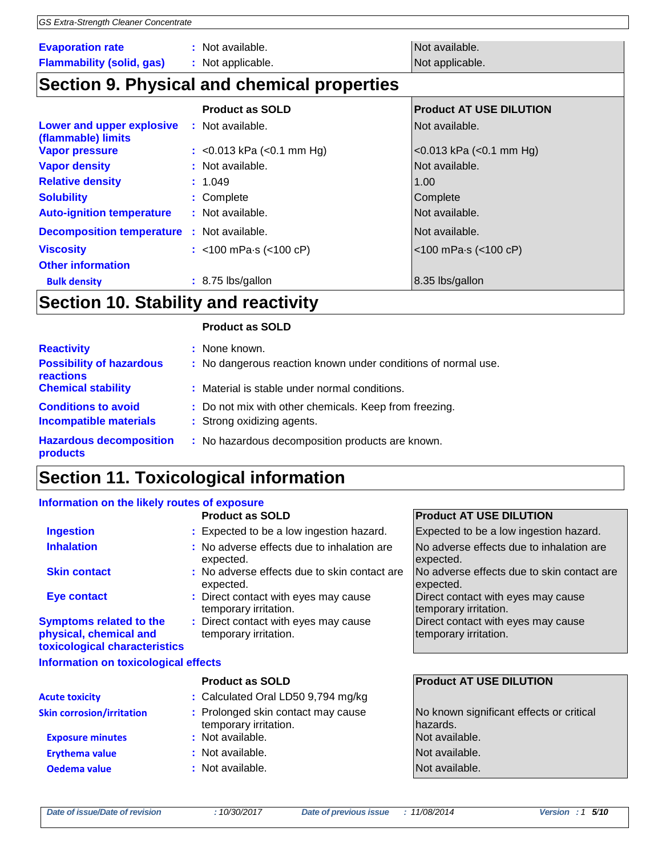| GS Extra-Strength Cleaner Concentrate           |                                             |                                     |
|-------------------------------------------------|---------------------------------------------|-------------------------------------|
|                                                 |                                             |                                     |
| <b>Evaporation rate</b>                         | : Not available.                            | Not available.                      |
| <b>Flammability (solid, gas)</b>                | : Not applicable.                           | Not applicable.                     |
|                                                 | Section 9. Physical and chemical properties |                                     |
|                                                 | <b>Product as SOLD</b>                      | <b>Product AT USE DILUTION</b>      |
| Lower and upper explosive<br>(flammable) limits | : Not available.                            | Not available.                      |
| <b>Vapor pressure</b>                           | : $<$ 0.013 kPa ( $<$ 0.1 mm Hg)            | $<$ 0.013 kPa ( $<$ 0.1 mm Hg)      |
| <b>Vapor density</b>                            | : Not available.                            | Not available.                      |
| <b>Relative density</b>                         | : 1.049                                     | 1.00                                |
| <b>Solubility</b>                               | : Complete                                  | Complete                            |
| <b>Auto-ignition temperature</b>                | : Not available.                            | Not available.                      |
| <b>Decomposition temperature</b>                | : Not available.                            | Not available.                      |
| <b>Viscosity</b>                                | : <100 mPa $\cdot$ s (<100 cP)              | $<$ 100 mPa $\cdot$ s ( $<$ 100 cP) |
| <b>Other information</b>                        |                                             |                                     |
| <b>Bulk density</b>                             | $: 8.75$ lbs/gallon                         | 8.35 lbs/gallon                     |

## **Section 10. Stability and reactivity**

#### **Product as SOLD**

| <b>Reactivity</b><br><b>Possibility of hazardous</b><br>reactions<br><b>Chemical stability</b> | : None known.<br>: No dangerous reaction known under conditions of normal use.<br>: Material is stable under normal conditions. |
|------------------------------------------------------------------------------------------------|---------------------------------------------------------------------------------------------------------------------------------|
| <b>Conditions to avoid</b><br><b>Incompatible materials</b>                                    | : Do not mix with other chemicals. Keep from freezing.<br>: Strong oxidizing agents.                                            |
| <b>Hazardous decomposition</b><br>products                                                     | : No hazardous decomposition products are known.                                                                                |

# **Section 11. Toxicological information**

#### **Information on the likely routes of exposure**

|                                                                                           | <b>Product as SOLD</b>                                        | <b>Product AT USE DILUTION</b>                              |
|-------------------------------------------------------------------------------------------|---------------------------------------------------------------|-------------------------------------------------------------|
| <b>Ingestion</b>                                                                          | : Expected to be a low ingestion hazard.                      | Expected to be a low ingestion hazard.                      |
| <b>Inhalation</b>                                                                         | : No adverse effects due to inhalation are<br>expected.       | No adverse effects due to inhalation are<br>expected.       |
| <b>Skin contact</b>                                                                       | : No adverse effects due to skin contact are<br>expected.     | INo adverse effects due to skin contact are<br>expected.    |
| Eye contact                                                                               | : Direct contact with eyes may cause<br>temporary irritation. | Direct contact with eyes may cause<br>temporary irritation. |
| <b>Symptoms related to the</b><br>physical, chemical and<br>toxicological characteristics | : Direct contact with eyes may cause<br>temporary irritation. | Direct contact with eyes may cause<br>temporary irritation. |
| Information on toxicological effects                                                      |                                                               |                                                             |
|                                                                                           | <b>Product as SOLD</b>                                        | <b>Product AT USE DILUTION</b>                              |
| <b>Acute toxicity</b>                                                                     | : Calculated Oral LD50 9,794 mg/kg                            |                                                             |
| <b>Skin corrosion/irritation</b>                                                          | : Prolonged skin contact may cause<br>temporary irritation.   | No known significant effects or critical<br>hazards.        |
| <b>Exposure minutes</b>                                                                   | : Not available.                                              | Not available.                                              |

**Erythema value because that in the set of the Serverse Contracts in the Serverse Poisson and Serverse Poisson and Not available.** 

- **Oedema value :** Not available. Not available.
	-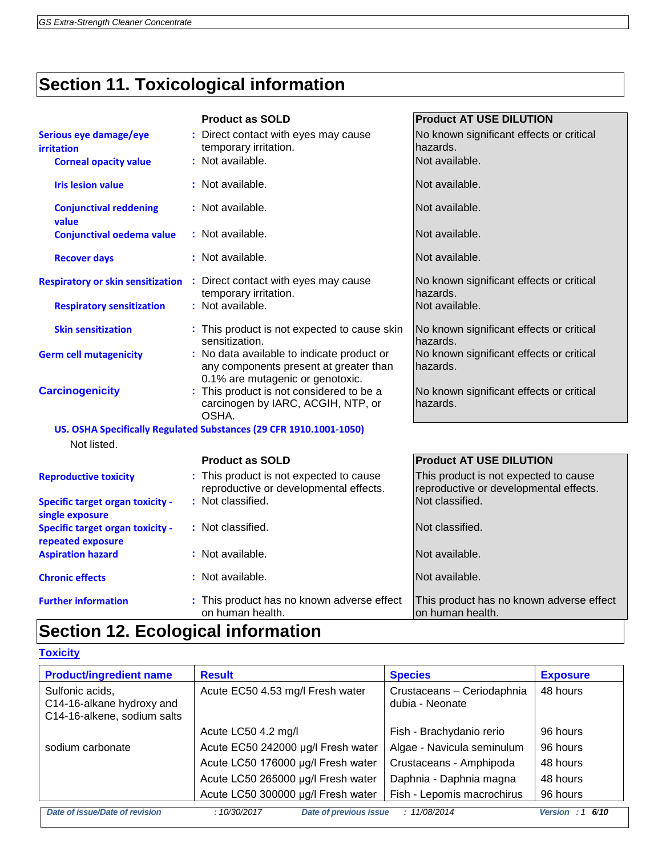# **Section 11. Toxicological information**

|                                                              | <b>Product as SOLD</b>                                                                                                   | <b>Product AT USE DILUTION</b>                                                  |
|--------------------------------------------------------------|--------------------------------------------------------------------------------------------------------------------------|---------------------------------------------------------------------------------|
| Serious eye damage/eye<br><b>irritation</b>                  | : Direct contact with eyes may cause<br>temporary irritation.                                                            | No known significant effects or critical<br>hazards.                            |
| <b>Corneal opacity value</b>                                 | : Not available.                                                                                                         | Not available.                                                                  |
| <b>Iris lesion value</b>                                     | : Not available.                                                                                                         | Not available.                                                                  |
| <b>Conjunctival reddening</b><br>value                       | : Not available.                                                                                                         | Not available.                                                                  |
| <b>Conjunctival oedema value</b>                             | : Not available.                                                                                                         | Not available.                                                                  |
| <b>Recover days</b>                                          | : Not available.                                                                                                         | Not available.                                                                  |
| <b>Respiratory or skin sensitization</b>                     | : Direct contact with eyes may cause<br>temporary irritation.                                                            | No known significant effects or critical<br>hazards.                            |
| <b>Respiratory sensitization</b>                             | : Not available.                                                                                                         | Not available.                                                                  |
| <b>Skin sensitization</b>                                    | : This product is not expected to cause skin<br>sensitization.                                                           | No known significant effects or critical<br>hazards.                            |
| <b>Germ cell mutagenicity</b>                                | : No data available to indicate product or<br>any components present at greater than<br>0.1% are mutagenic or genotoxic. | No known significant effects or critical<br>hazards.                            |
| <b>Carcinogenicity</b>                                       | : This product is not considered to be a<br>carcinogen by IARC, ACGIH, NTP, or<br>OSHA.                                  | No known significant effects or critical<br>hazards.                            |
|                                                              | US. OSHA Specifically Regulated Substances (29 CFR 1910.1001-1050)                                                       |                                                                                 |
| Not listed.                                                  |                                                                                                                          |                                                                                 |
|                                                              | <b>Product as SOLD</b>                                                                                                   | <b>Product AT USE DILUTION</b>                                                  |
| <b>Reproductive toxicity</b>                                 | : This product is not expected to cause<br>reproductive or developmental effects.                                        | This product is not expected to cause<br>reproductive or developmental effects. |
| <b>Specific target organ toxicity -</b><br>single exposure   | : Not classified.                                                                                                        | Not classified.                                                                 |
| <b>Specific target organ toxicity -</b><br>repeated exposure | : Not classified.                                                                                                        | Not classified.                                                                 |
| <b>Aspiration hazard</b>                                     | : Not available.                                                                                                         | Not available.                                                                  |
| <b>Chronic effects</b>                                       | : Not available.                                                                                                         | Not available.                                                                  |
| <b>Further information</b>                                   | : This product has no known adverse effect<br>on human health.                                                           | This product has no known adverse effect<br>on human health.                    |

## **Section 12. Ecological information**

### **Toxicity**

| <b>Product/ingredient name</b>                                              | <b>Result</b>                         | <b>Species</b>                                | <b>Exposure</b>    |
|-----------------------------------------------------------------------------|---------------------------------------|-----------------------------------------------|--------------------|
| Sulfonic acids,<br>C14-16-alkane hydroxy and<br>C14-16-alkene, sodium salts | Acute EC50 4.53 mg/l Fresh water      | Crustaceans - Ceriodaphnia<br>dubia - Neonate | 48 hours           |
|                                                                             | Acute LC50 4.2 mg/l                   | Fish - Brachydanio rerio                      | 96 hours           |
| sodium carbonate                                                            | Acute EC50 242000 µg/l Fresh water    | Algae - Navicula seminulum                    | 96 hours           |
|                                                                             | Acute LC50 176000 µg/l Fresh water    | Crustaceans - Amphipoda                       | 48 hours           |
|                                                                             | Acute LC50 265000 µg/l Fresh water    | Daphnia - Daphnia magna                       | 48 hours           |
|                                                                             | Acute LC50 300000 µg/l Fresh water    | Fish - Lepomis macrochirus                    | 96 hours           |
| Date of issue/Date of revision                                              | Date of previous issue<br>:10/30/2017 | : 11/08/2014                                  | Version: 1<br>6/10 |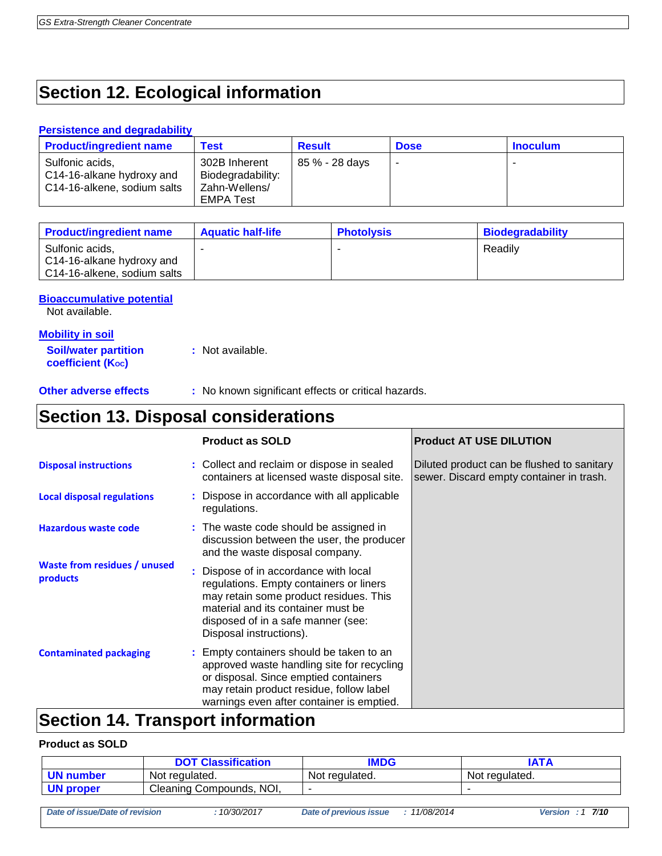## **Section 12. Ecological information**

#### **Persistence and degradability**

| <b>Product/ingredient name</b>                                              | Test                                                             | <b>Result</b>  | <b>Dose</b> | <b>Inoculum</b> |
|-----------------------------------------------------------------------------|------------------------------------------------------------------|----------------|-------------|-----------------|
| Sulfonic acids,<br>C14-16-alkane hydroxy and<br>C14-16-alkene, sodium salts | 302B Inherent<br>Biodegradability:<br>Zahn-Wellens/<br>EMPA Test | 85 % - 28 days |             |                 |

| <b>Product/ingredient name</b>                                              | <b>Aquatic half-life</b> | <b>Photolysis</b> | <b>Biodegradability</b> |
|-----------------------------------------------------------------------------|--------------------------|-------------------|-------------------------|
| Sulfonic acids,<br>C14-16-alkane hydroxy and<br>C14-16-alkene, sodium salts |                          |                   | Readilv                 |

**Bioaccumulative potential**

Not available.

#### **Mobility in soil**

**Soil/water partition coefficient (Koc) :** Not available.

**Other adverse effects** : No known significant effects or critical hazards.

## **Section 13. Disposal considerations**

|                                          | <b>Product as SOLD</b>                                                                                                                                                                                                            | <b>Product AT USE DILUTION</b>                                                         |
|------------------------------------------|-----------------------------------------------------------------------------------------------------------------------------------------------------------------------------------------------------------------------------------|----------------------------------------------------------------------------------------|
| <b>Disposal instructions</b>             | : Collect and reclaim or dispose in sealed<br>containers at licensed waste disposal site.                                                                                                                                         | Diluted product can be flushed to sanitary<br>sewer. Discard empty container in trash. |
| <b>Local disposal regulations</b>        | : Dispose in accordance with all applicable<br>regulations.                                                                                                                                                                       |                                                                                        |
| <b>Hazardous waste code</b>              | : The waste code should be assigned in<br>discussion between the user, the producer<br>and the waste disposal company.                                                                                                            |                                                                                        |
| Waste from residues / unused<br>products | : Dispose of in accordance with local<br>regulations. Empty containers or liners<br>may retain some product residues. This<br>material and its container must be<br>disposed of in a safe manner (see:<br>Disposal instructions). |                                                                                        |
| <b>Contaminated packaging</b>            | Empty containers should be taken to an<br>approved waste handling site for recycling<br>or disposal. Since emptied containers<br>may retain product residue, follow label<br>warnings even after container is emptied.            |                                                                                        |
| <b>Continn</b>                           | Tranenart infarmatian                                                                                                                                                                                                             |                                                                                        |

## **Section 14. Transport information**

#### **Product as SOLD**

|                                |                          | <b>DOT Classification</b> | <b>IMDG</b>            |              |                | <b>IATA</b>          |
|--------------------------------|--------------------------|---------------------------|------------------------|--------------|----------------|----------------------|
| <b>UN number</b>               | Not regulated.           |                           | Not regulated.         |              | Not regulated. |                      |
| <b>UN proper</b>               | Cleaning Compounds, NOI, |                           |                        |              |                |                      |
|                                |                          |                           |                        |              |                |                      |
| Date of issue/Date of revision |                          | :10/30/2017               | Date of previous issue | : 11/08/2014 |                | Version : $1 \t7/10$ |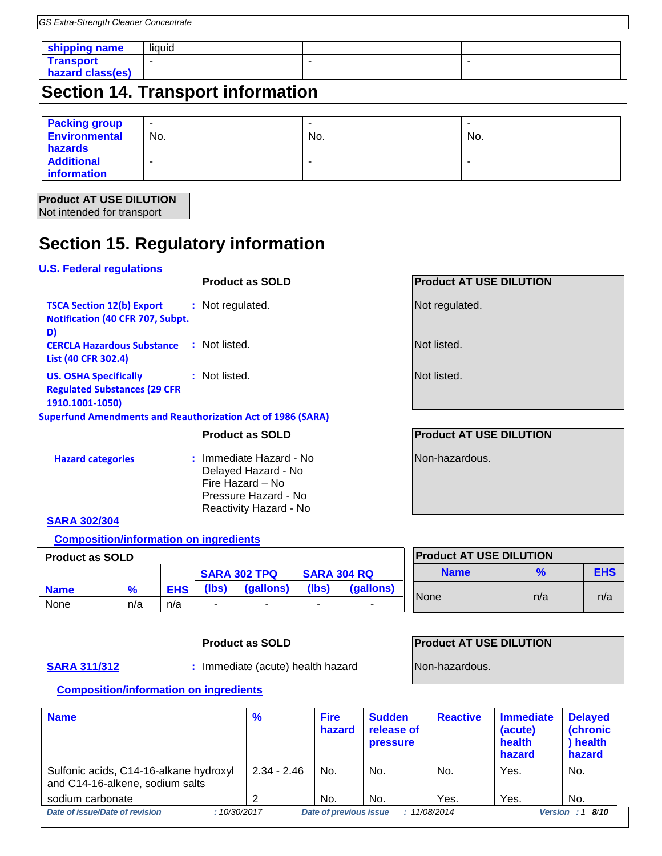| shipping name                             | liquid |  |  |
|-------------------------------------------|--------|--|--|
| <b>Transport</b><br>hazard class(es)      |        |  |  |
| $\Gamma$ castian 11 Transpart information |        |  |  |

## **Section 14. Transport information**

| <b>Packing group</b> | ٠   | $\,$ |     |
|----------------------|-----|------|-----|
| <b>Environmental</b> | No. | No.  | No. |
| hazards              |     |      |     |
| <b>Additional</b>    |     | -    |     |
| information          |     |      |     |

#### **Product AT USE DILUTION** Not intended for transport

## **Section 15. Regulatory information**

#### **U.S. Federal regulations**

## **Product as SOLD Product AT USE DILUTION**

| <b>TSCA Section 12(b) Export</b><br>Notification (40 CFR 707, Subpt.                   | : Not regulated. |
|----------------------------------------------------------------------------------------|------------------|
| D)<br><b>CERCLA Hazardous Substance</b><br>List (40 CFR 302.4)                         | : Not listed.    |
| <b>US. OSHA Specifically</b><br><b>Regulated Substances (29 CFR</b><br>1910.1001-1050) | : Not listed.    |

#### **Superfund Amendments and Reauthorization Act of 1986 (SARA)**

#### **Hazard categories :** Immediate Hazard - No Delayed Hazard - No Fire Hazard – No Pressure Hazard - No Reactivity Hazard - No

Not regulated.

Not listed.

Not listed.

### **Product as SOLD Product AT USE DILUTION**

Non-hazardous.

### **SARA 302/304**

#### **Composition/information on ingredients**

| <b>Product as SOLD</b> |               |            |                     |           | <b>Product AT USE DILUTION</b> |           |             |     |            |
|------------------------|---------------|------------|---------------------|-----------|--------------------------------|-----------|-------------|-----|------------|
|                        |               |            | <b>SARA 302 TPQ</b> |           | <b>SARA 304 RQ</b>             |           | <b>Name</b> |     | <b>EHS</b> |
| <b>Name</b>            | $\frac{9}{6}$ | <b>EHS</b> | (lbs)               | (gallons) | (Ibs)                          | (gallons) |             |     |            |
| None                   | n/a           | n/a        | $\sim$              |           | ۰                              |           | <b>None</b> | n/a | n/a        |

### **Product as SOLD Product AT USE DILUTION**

**SARA 311/312 :** Immediate (acute) health hazard Non-hazardous.

#### **Composition/information on ingredients**

| <b>Name</b>                                                               | $\frac{9}{6}$ | <b>Fire</b><br>hazard         | <b>Sudden</b><br>release of<br><b>pressure</b> | <b>Reactive</b> | <b>Immediate</b><br>(acute)<br>health<br>hazard | <b>Delayed</b><br><b>(chronic)</b><br>) health<br>hazard |
|---------------------------------------------------------------------------|---------------|-------------------------------|------------------------------------------------|-----------------|-------------------------------------------------|----------------------------------------------------------|
| Sulfonic acids, C14-16-alkane hydroxyl<br>and C14-16-alkene, sodium salts | $2.34 - 2.46$ | No.                           | No.                                            | No.             | Yes.                                            | No.                                                      |
| sodium carbonate                                                          |               | No.                           | No.                                            | Yes.            | Yes.                                            | No.                                                      |
| Date of issue/Date of revision<br>:10/30/2017                             |               | <b>Date of previous issue</b> | : 11/08/2014                                   |                 | <b>Version</b>                                  | : 18/10                                                  |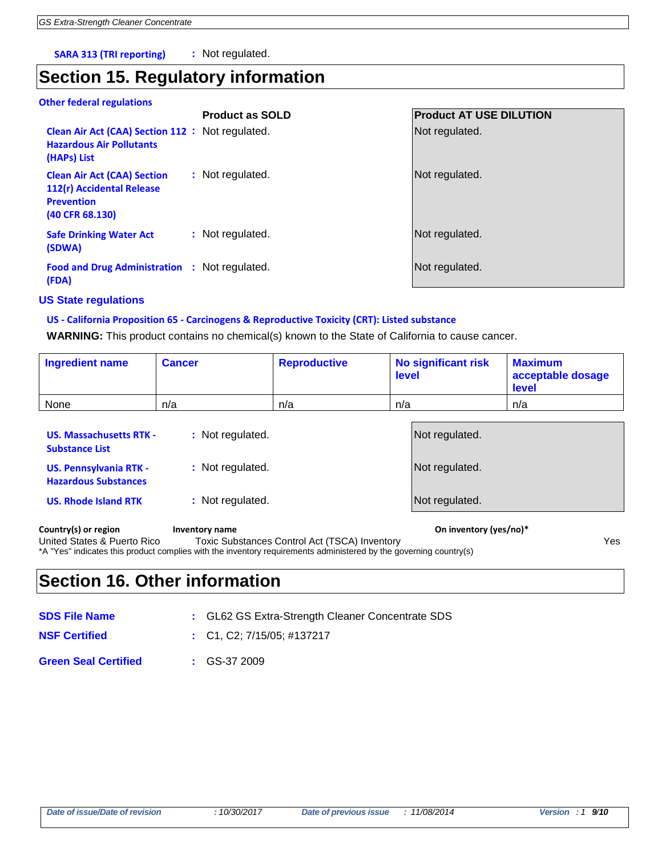**SARA 313 (TRI reporting) :** Not regulated.

## **Section 15. Regulatory information**

**Other federal regulations**

|                                                                                                         | <b>Product as SOLD</b> | <b>Product AT USE DILUTION</b> |
|---------------------------------------------------------------------------------------------------------|------------------------|--------------------------------|
| Clean Air Act (CAA) Section 112 : Not regulated.<br><b>Hazardous Air Pollutants</b><br>(HAPs) List      |                        | Not regulated.                 |
| <b>Clean Air Act (CAA) Section</b><br>112(r) Accidental Release<br><b>Prevention</b><br>(40 CFR 68.130) | : Not regulated.       | Not regulated.                 |
| <b>Safe Drinking Water Act</b><br>(SDWA)                                                                | : Not regulated.       | Not regulated.                 |
| Food and Drug Administration : Not regulated.<br>(FDA)                                                  |                        | Not regulated.                 |
|                                                                                                         |                        |                                |

#### **US State regulations**

#### **US - California Proposition 65 - Carcinogens & Reproductive Toxicity (CRT): Listed substance**

**WARNING:** This product contains no chemical(s) known to the State of California to cause cancer.

| <b>Ingredient name</b> | <b>Cancer</b> | <b>Reproductive</b> | <b>No significant risk</b><br>level | <b>Maximum</b><br>acceptable dosage<br>level |
|------------------------|---------------|---------------------|-------------------------------------|----------------------------------------------|
| None                   | n/a           | n/a                 | n/a                                 | n/a                                          |
|                        |               |                     |                                     |                                              |

| Country(s) or region                                         | Inventory name   | On inventory (yes/no)* |
|--------------------------------------------------------------|------------------|------------------------|
| <b>US. Rhode Island RTK</b>                                  | : Not regulated. | Not regulated.         |
| <b>US. Pennsylvania RTK -</b><br><b>Hazardous Substances</b> | : Not regulated. | Not regulated.         |
| <b>US. Massachusetts RTK -</b><br><b>Substance List</b>      | : Not regulated. | Not regulated.         |

United States & Puerto Rico Toxic Substances Control Act (TSCA) Inventory Yes \*A "Yes" indicates this product complies with the inventory requirements administered by the governing country(s)

## **Section 16. Other information**

| <b>SDS File Name</b>        | : GL62 GS Extra-Strength Cleaner Concentrate SDS |
|-----------------------------|--------------------------------------------------|
| <b>NSF Certified</b>        | $\therefore$ C1, C2: 7/15/05: #137217            |
| <b>Green Seal Certified</b> | $\div$ GS-37 2009                                |